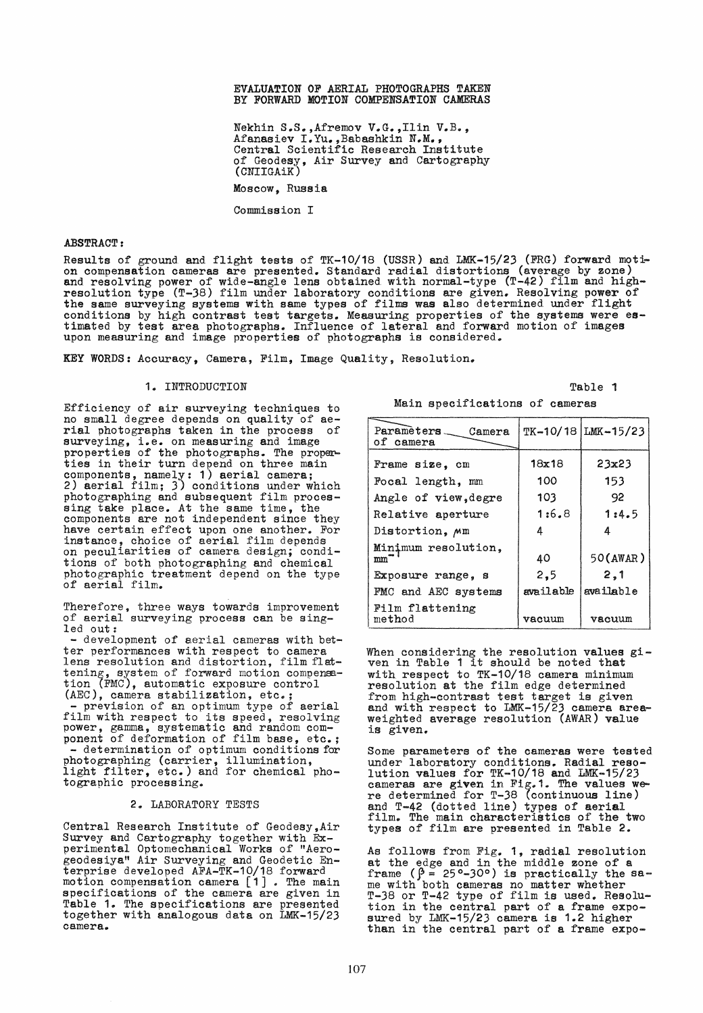### EVALUATION OF AERIAL PHOTOGRAPHS TAXEN BY FORWARD MOTION COMPENSATION CAMERAS

Nekhin S.S.,Afremov V.G.,Ilin V.B., Afanasiev I.Yu.,Babashkin N.M., Central Scientific Research Institute of Geodesy, Air Survey and Cartography (CNIIGAiK)

Moscow, Russia

Commission I

#### ABSTRACT:

Results of ground and flight tests of TK-10/18 (USSR) and LMK-15/23 (FRG) forward motion compensation cameras are presented. Standard radial distortions (average by zone)<br>and resolving power of wide-angle lens obtained with normal-type (T-42) film and highresolution type (T-38) film under laboratory conditions are given. Resolving power of the same surveying systeme with same types of filme was also determined under flight conditions by high contrast test targets. Measuring properties of the systeme were estimated by test area photographs. Influence of lateral and forward motion of images upon measuring and image properties of photographs is considered.

KEY WORDS: Accuracy, Camera, Film, Image Quality, Resolution.

# 1. INTRODUCTION

Efficiency of air surveying techniques to no small degree depends on quality of ae-rial photographs taken in the process of surveying, i.e. on measuring and image<br>properties of the photographs. The properties in their turn depend on three main components, namely: 1) aerial camera; 2) aerial film; 3) conditions under which photographing and subsequent film proces-<br>sing take place. At the same time, the components are not independent sinee they have certain effect upon one another. For instance, ehoice of aerial film depends on peculiarities of camera design; conditions of both photographing and chemieal photographic treatment depend on the type of aerial film.

Therefore, three ways towards improvement<br>of aerial surveying process can be sing-<br>led out: - development of aerial cameras with bet-

ter performances with respect to camera lens resolution and distortion, film flattening, system of forward motion compensa-<br>tion (FMC), automatic exposure control (AEC), camera stabilization, etc.; prevision of an optimum type of aerial film with respect to its speed, resolving power, gamma, systematic and random component of deformation of film base, etc.;<br>- determination of optimum conditions for photographing (carrier, illumination, photographing (carrier, irrumination,<br>light filter, etc.) and for chemical pho-<br>tographic processing.

### 2. LABORATORY TESTS

Central Research Institute of Geodesy,Air Survey and Cartography together with Experimental Optomechanical Works of "Aerogeodesiya" Air Surveying and Geodetic En-terprise developed AFA-TK-10/18 forward motion compensation camera [1]. The main specifications of the camera are given in Table 1. The specifications are presented together with analogous data on LMK-15/23 eamera ..

|  | Main specifications of cameras |  |  |
|--|--------------------------------|--|--|
|--|--------------------------------|--|--|

Table 1

| Parameters __ Camera<br>of camera |           | TK-10/18 LMK-15/23 |
|-----------------------------------|-----------|--------------------|
| Frame size, cm                    | 18x18     | 23x23              |
| Focal length, mm                  | 100       | 153                |
| Angle of view, degre              | 103       | 92                 |
| Relative aperture                 | 1:6.8     | 1:4.5              |
| Distortion, Mm                    | 4         | Δ                  |
| Minimum resolution.<br>mm         | 40        | 50(AWAR)           |
| Exposure range, s                 | 2,5       | 2,1                |
| FMC and AEC systems               | available | available          |
| Film flattening<br>method         | vacuum    | vacuum             |

When considering the resolution values gi-ven in Table 1 it should be noted that with respect to TK-10/18 camera minimum resolution at the film edge determined from high-contrast test target is given end with respect to LMK-15/23 camera areaweighted average resolution (AWAR) value is given.

Some parameters of the cameras were teated under laboratory eonditions. Radial resolution valuea for TK-10/18 end LMK-15/23 cameras are given in Fig. 1. The values were determined for T-38 (continuous line) end T-42 (dotted line) types of aerial film. The main characteristics of the two types of film are presented in Table 2.

As follows from Fig. 1, radial resolution at the edge and in the middle zone of a frame  $(\hat{\beta} = 25^{\circ} - 30^{\circ})$  is practically the same with both cameraa no matter whether T-38 or T-42 type of film ia used. Resolution in the central part of a frame expo-<br>sured by LMK-15/23 camera is 1.2 higher<br>than in the central part of a frame expo-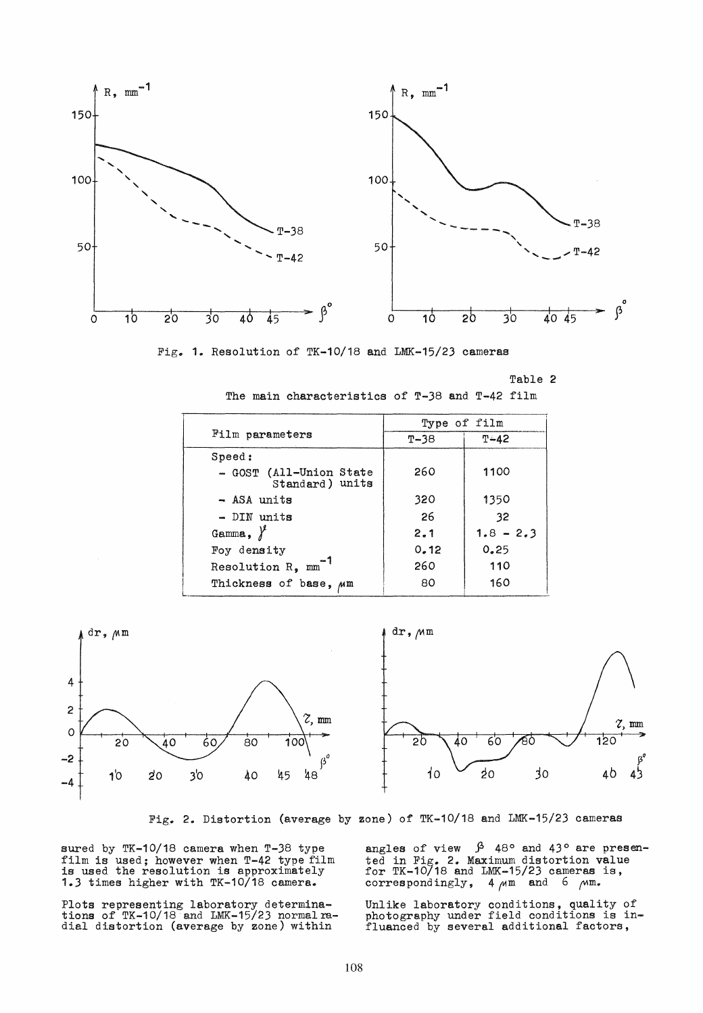



Table 2

The main characteristics of T-38 and T-42 film

|                                            | Type of film |             |  |  |
|--------------------------------------------|--------------|-------------|--|--|
| Film parameters                            | $T - 38$     | $T - 42$    |  |  |
| Speed:                                     |              |             |  |  |
| - GOST (All-Union State<br>Standard) units | 260          | 1100        |  |  |
| - ASA units                                | 320          | 1350        |  |  |
| - DIN units                                | 26           | 32          |  |  |
| Gamma, $\lambda^2$                         | 2.1          | $1.8 - 2.3$ |  |  |
| Foy density                                | 0.12         | 0.25        |  |  |
| Resolution R, mm                           | 260          | 110         |  |  |
| Thickness of base, Mm                      | 80           | 160         |  |  |



Fig. 2. Distortion (average by zone) of TK-10/18 and LMK-15/23 cameras

sured by TK-10/18 camera when T-38 type film is used; however when T-42 type film<br>is used the resolution is approximately<br>1.3 times higher with TK-10/18 camera.

Plots representing laboratory determina-<br>tions of TK-10/18 and LMK-15/23 normal ra-<br>dial distortion (average by zone) within

angles of view  $\beta$  48° and 43° are presented in Fig. 2. Maximum distortion value<br>for TK-10/18 and LMK-15/23 cameras is, correspondingly, 4  $\mu$ m and 6  $\mu$ m.

Unlike laboratory conditions, quality of<br>photography under field conditions is in-<br>fluanced by several additional factors,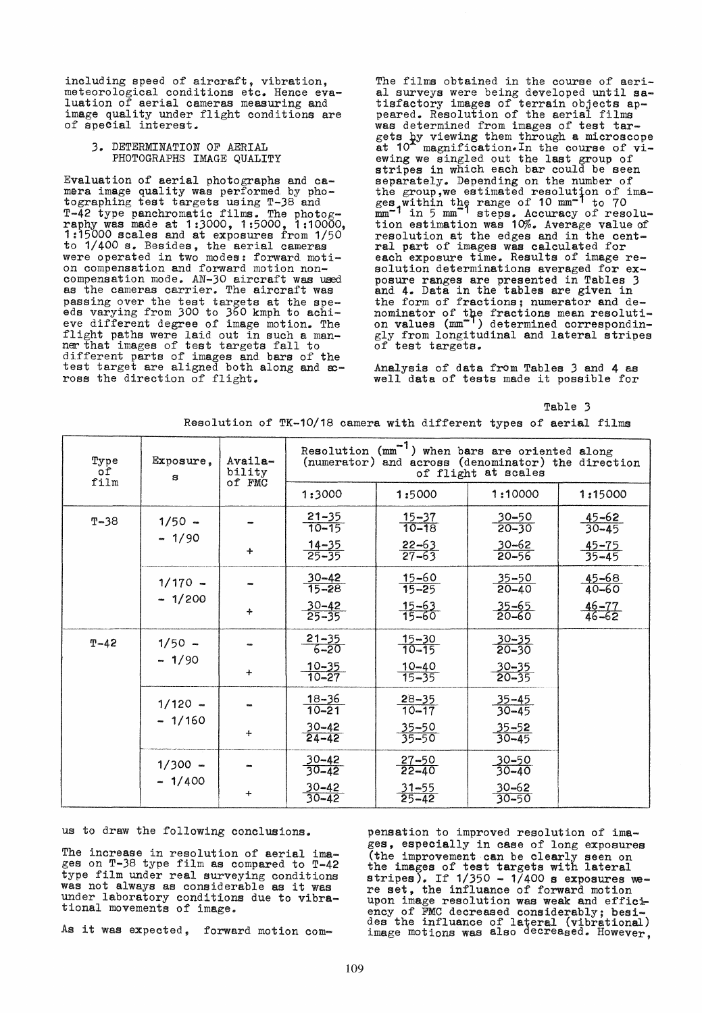including speed of aircraft, vibration, meteorological conditions etc. Hence evaluation of aerial cameras measuring and image quality under flight conditions are of special interest.

## 3. DETERMINATION OF AERIAL PHOTOGRAPHS IMAGE QUALITY

Evaluation of aerial photographs and camera image quality was performed by pho-<br>tographing test targets using  $T-38$  and<br> $T-42$  type panchromatic films. The photog T-42 type panchromatic films. The photog- raphy was made at 1 :3000, 1 :5000, 1 :10000, 1:15000 scales and at exposures from 1/50 to 1/400 s. Besides, the aerial cameras were operated in two modes: forward motion compensation and forward motion non-<br>compensation mode. AN-30 aircraft was used compensation mode. AN-30 aircraft was used<br>as the cameras carrier. The aircraft was passing over the test targets at the spe- eds varying from 300 to 360 kmph to achieve different degree of image motion. The flight paths were laid out in such a manner that images of test targets fall to different parts of images and bars of the test target are aligned both along and  $x$ ross the direction of flight.

The films obtained in the course of aerial surveys were being developed until satisfactory images of terrain objects ap- peared. Resolution of the aerial films was determined from images of test targets by viewing them through a microscope at 10<sup>\*</sup> magnification. In the course of viat 10<sup>\*</sup> magnification. In the course of vi-<br>ewing we singled out the last group of stripes in which each bar could be seen separately. Depending on the number of the group, we estimated resolution of images within the range of 10 mm<sup>-1</sup> to 70 mm<sup>-1</sup> in 5 mm<sup>-1</sup> steps. Accuracy of resolution estimation was 10%. Average value of resolution at the edges and in the central part of images was calculated for each exposure time. Results of image resolution determinations averaged for exposure ranges are presented in Tables 3 and 4. Data in the tables are given in the form of fractions; numerator and denominator of the fractions mean resoluti-<br>on values (mm<sup>-1</sup>) determined correspondingly from longitudinal and lateral stripes of test targets.

Analysis of data from Tables 3 and 4 as weIl data of tests made it possible for

### Table 3

Resolution of  $TK-10/18$  camera with different types of aerial films

| Type<br>of<br>film | Exposure,<br>s | Availa-<br>bility<br>of FMC | Resolution $\text{mm}^{-1}$ ) when bars are oriented along<br>(numerator) and across (denominator) the direction<br>of flight at scales |                           |                        |                       |  |
|--------------------|----------------|-----------------------------|-----------------------------------------------------------------------------------------------------------------------------------------|---------------------------|------------------------|-----------------------|--|
|                    |                |                             | 1:3000                                                                                                                                  | 1:5000                    | 1:10000                | 1:15000               |  |
| $T-38$             | $1/50 -$       |                             | $\frac{21-35}{10-15}$                                                                                                                   | $\frac{15 - 37}{10 - 18}$ | $\frac{30-50}{20-30}$  | $\frac{45-62}{30-45}$ |  |
|                    | $-1/90$        | $\ddot{}$                   | $\frac{14-35}{25-35}$                                                                                                                   | $\frac{22-63}{27-63}$     | $\frac{30-62}{20-56}$  | $\frac{45-75}{35-45}$ |  |
|                    | $1/170 -$      |                             | $\frac{30 - 42}{15 - 28}$                                                                                                               | $\frac{15 - 60}{15 - 25}$ | $\frac{35-50}{20-40}$  | 45-68<br>$40 - 60$    |  |
|                    | $-1/200$       | $\ddot{}$                   | $\frac{30 - 42}{25 - 35}$                                                                                                               | $\frac{15 - 63}{15 - 60}$ | $\frac{35-65}{20-60}$  | $\frac{46-77}{46-62}$ |  |
| $T - 42$           | $1/50 -$       |                             | $\frac{21-35}{6-20}$                                                                                                                    | $\frac{15 - 30}{10 - 15}$ | $\frac{30-35}{20-30}$  |                       |  |
|                    | $-1/90$        | $\ddotmark$                 | $\frac{10 - 35}{10 - 27}$                                                                                                               | $\frac{10-40}{15-35}$     | $\frac{30-35}{20-35}$  |                       |  |
|                    | $1/120 -$      |                             | $\frac{18 - 36}{10 - 21}$                                                                                                               | $\frac{28-35}{10-17}$     | $\frac{35-45}{30-45}$  |                       |  |
|                    | $-1/160$       | $+$                         | $\frac{30-42}{24-42}$                                                                                                                   | $\frac{35-50}{35-50}$     | $\frac{35-52}{30-45}$  |                       |  |
|                    | $1/300 -$      |                             | $\frac{30-42}{30-42}$                                                                                                                   | $\frac{27 - 50}{22 - 40}$ | $\frac{30-50}{30-40}$  |                       |  |
|                    | $-1/400$       | $\ddot{}$                   | $\frac{30 - 42}{30 - 42}$                                                                                                               | $\frac{31 - 55}{25 - 42}$ | $30 - 62$<br>$30 - 50$ |                       |  |

us to draw the following eonelusions.

The increase in resolution of aerial images on T-38 type film as eompared to T-42 type film under real surveying eonditions was not always as eonsiderable as it was under laboratory conditions due to vibrational movements of image.

As it was expected, forward motion com-

pensation to improved resolution of images, espeoially in ease of long exposures (the improvement esn be elearly seen on the images of test targets with lateral stripes). If  $1/350 - 1/400$  s exposures were set, the influance of forward motion upon image resolution was weak and effieiency of FMC decreased considerably; besi-<br>des the influance of lateral (vibrational)<br>image motions was also decreased. However,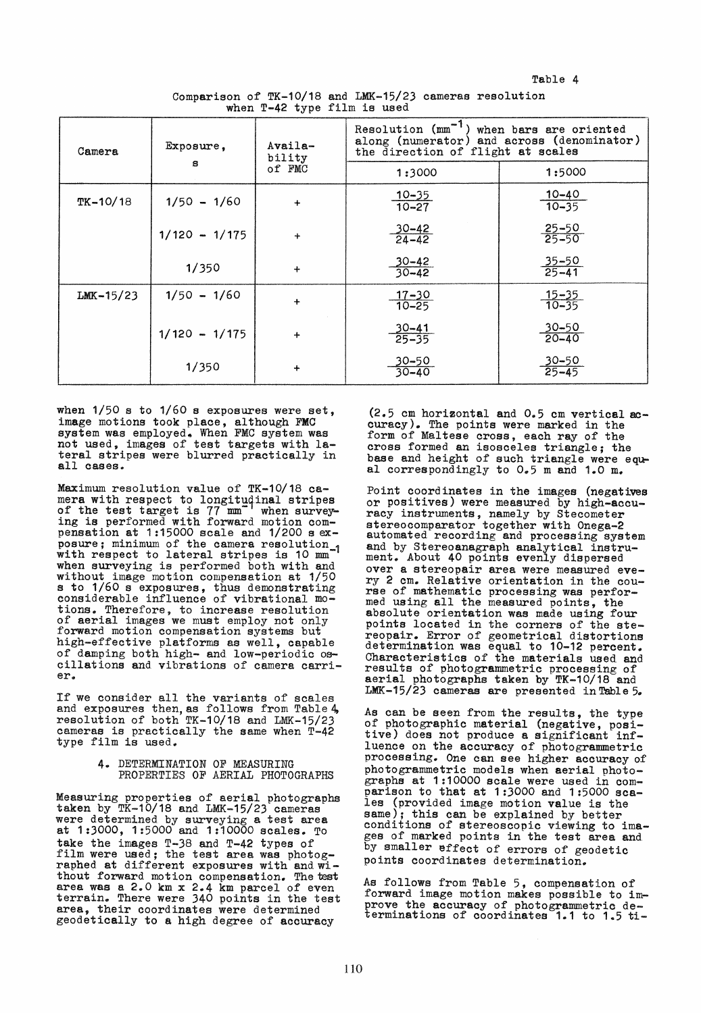Table 4

Comparison of TK-10/18 and LMK-15/23 cameras resolution when T-42 type film is used

| Camera       | Exposure,       | Availa-<br>bility | Resolution $\text{mm}^{-1}$ ) when bars are oriented<br>along (numerator) and across (denominator)<br>the direction of flight at scales |                        |  |  |
|--------------|-----------------|-------------------|-----------------------------------------------------------------------------------------------------------------------------------------|------------------------|--|--|
|              | 8               | of FMC            | 1:3000                                                                                                                                  | 1:5000                 |  |  |
| $TK - 10/18$ | $1/50 - 1/60$   | $\ddot{}$         | $\frac{10 - 35}{10 - 27}$                                                                                                               | $10 - 40$<br>$10 - 35$ |  |  |
|              | $1/120 - 1/175$ | $\ddot{}$         | $\frac{30-42}{24-42}$                                                                                                                   | $\frac{25-50}{25-50}$  |  |  |
|              | 1/350           | $+$               | $\frac{30-42}{30-42}$                                                                                                                   | $\frac{35-50}{25-41}$  |  |  |
| $LMK-15/23$  | $1/50 - 1/60$   | $\ddot{}$         | $\frac{17-30}{10-25}$                                                                                                                   | $\frac{15-35}{10-35}$  |  |  |
|              | $1/120 - 1/175$ | $\ddot{}$         | $\frac{30-41}{25-35}$                                                                                                                   | $30 - 50$<br>$20 - 40$ |  |  |
|              | 1/350           | $\ddag$           | $\frac{30 - 50}{30 - 40}$                                                                                                               | 30–50<br>25–45         |  |  |

when  $1/50$  s to  $1/60$  s exposures were set, image motions took place, although FMC system was employed. When FMC system was<br>not used, images of test targets with lateral stripes were blurred practically in all cases.

Maximum resolution value of TK-10/18 camera with respect to longitudinal stripes of the test target is 77 mm<sup>-</sup> when survey-<br>ing is performed with forward motion compensation at 1:15000 scale and 1/200 s exposure; minimum of the camera resolution-1 with respect to lateral stripes is 10 mm when surveying is performed both with and without image motion compensation at 1/50 s to 1/60 sexposures, thus demonstrating considerable influence of vibrational motions. Therefore, to increase resolution of aerial images we must employ not only forward motion compensation systems but forward motion compensation systems but<br>high-effective platforms as well, capable of damping both high- and low-periodic oscillations and vibrations of camera carrier.

!f we consider all the variants of scales and exposures then, as follows from Table 4, resolution of both TK-10/18 and LMK-15/23 cameras is practically the same when T-42 type film is used.

> 4. DETERMINATION OF MEASURING PROPERTIES OF AERIAL PHOTOGRAPHS

Measuring properties of aerial photographa taken by TK-10/18 and LMK-15/23 cameras were determined by surveying a test area at 1:3000, 1:5000 end 1:10000 scales. To take the images  $T-38$  and  $T-42$  types of<br>film were used; the test area was photographed at different exposures with and without forward motion compensation. The test area was a 2.0 km x 2.4 km parcel of even terrain. There were 340 points in the test area, their coordinates were determined geodetically to a high degree of acouracy

 $(2.5 \text{ cm horizontal and } 0.5 \text{ cm vertical ac-}$ curacy). The points were marked in the form of Maltese cross, each ray of the cross formed an isosceles triangle; the<br>base and height of such triangle were equal correspondingly to  $0.5$  m and  $1.0$  m.

Point coordinates in the images (negatives or positives) were measured by high-accuracy instruments, namely by Stecometer<br>stereocomparator together with Onega-2 stereocomparator to the processing system and by Stereoanagraph analytical instrument. About 40 points evenly dispersed over a stereopair area were measured every 2 cm. Relative orientation in the course of mathematic processing was perfor- med uaing all the measured points, the absolute orientation was made using four points located in the corners of the stereopair. Error of geometrical distortions determination was equal to 10-12 percent. Characteristica of the materials used and results of photogrammetric processing of aerial photographs taken by TK-10/18 and LMK-15/23 cameraa are presented in Table 5.

As can be seen from the results, the type of photographic material (negative, posi-<br>tive) does not produce a significant influence on the accuracy of photogrammetric processing. One can see higher accuracy of photogrammetric models when aerial photographs at 1:10000 scale were used in comperison to that at 1:3000 and 1:5000 scales (provided image motion value is the same); this can be explained by better conditions of stereoscopic viewing to images of marked points in the test area and by smaller effect of errors of geodetic points coordinates determination.

As follows from Table 5, compensation of forward image motion makes possible to improve the accuracy of photogrammetric de-<br>terminations of coordinates 1.1 to 1.5 ti-